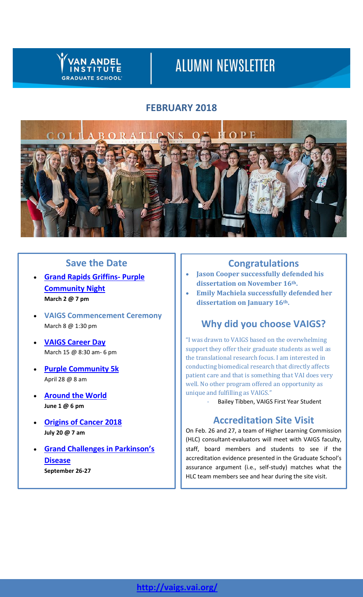## **VAN ANDEL INSTITUTE GRADUATE SCHOOL**

# **ALUMNI NEWSLETTER**

# **FEBRUARY 2018**



# **Save the Date**

- **Grand Rapids [Griffins-](https://purplecommunity.vai.org/event/griffins-2018/?#new_tab/) Purple [Community](https://purplecommunity.vai.org/event/griffins-2018/?#new_tab/) Night March 2 @ 7 pm**
- **VAIGS Commencement Ceremony** March 8 @ 1:30 pm
- **[VAIGS Career Day](https://www.eventbrite.com/e/vaigs-career-day-2018-beyond-the-bench-tickets-42197030454)** March 15 @ 8:30 am- 6 pm
- **Purple [Community](https://purplecommunity.vai.org/events/purple-community-5k/?#new_tab/) 5k** April 28 @ 8 am
- **[Around](https://www.vai.org/event/atw-18/) the World June 1 @ 6 pm**
- **[Origins](http://originsofcancer.org/?#new_tab/) of Cancer 2018 July 20 @ 7 am**
- **Grand Challenges in [Parkinson's](http://grandchallengesinpd.org/) [Disease](http://grandchallengesinpd.org/) September 26-27**

# **Congratulations**

- **Jason Cooper successfully defended his dissertation on November 16th.**
- **Emily Machiela successfully defended her dissertation on January 16th.**

# **Why did you choose VAIGS?**

"I was drawn to VAIGS based on the overwhelming support they offer their graduate students as well as the translational research focus. I am interested in conducting biomedical research that directly affects patient care and that is something that VAI does very well. No other program offered an opportunity as unique and fulfilling as VAIGS."

Bailey Tibben, VAIGS First Year Student

# **Accreditation Site Visit**

On Feb. 26 and 27, a team of Higher Learning Commission (HLC) consultant-evaluators will meet with VAIGS faculty, staff, board members and students to see if the accreditation evidence presented in the Graduate School's assurance argument (i.e., self-study) matches what the HLC team members see and hear during the site visit.